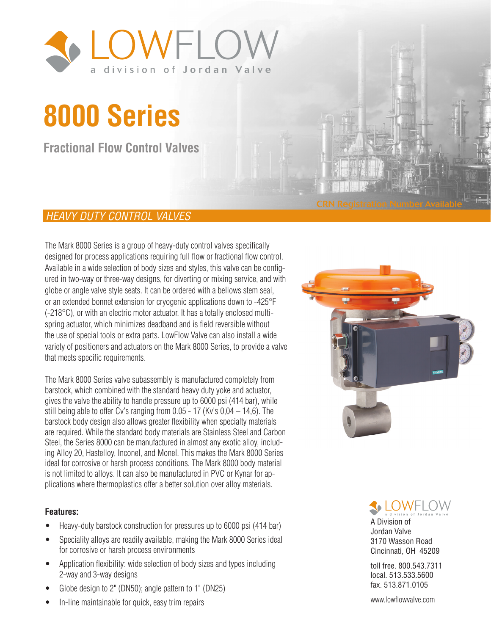

# **8000 Series**

**Fractional Flow Control Valves**

#### *HEAVY DUTY CONTROL VALVES*

The Mark 8000 Series is a group of heavy-duty control valves specifically designed for process applications requiring full flow or fractional flow control. Available in a wide selection of body sizes and styles, this valve can be configured in two-way or three-way designs, for diverting or mixing service, and with globe or angle valve style seats. It can be ordered with a bellows stem seal, or an extended bonnet extension for cryogenic applications down to -425°F (-218°C), or with an electric motor actuator. It has a totally enclosed multispring actuator, which minimizes deadband and is field reversible without the use of special tools or extra parts. LowFlow Valve can also install a wide variety of positioners and actuators on the Mark 8000 Series, to provide a valve that meets specific requirements.

The Mark 8000 Series valve subassembly is manufactured completely from barstock, which combined with the standard heavy duty yoke and actuator, gives the valve the ability to handle pressure up to 6000 psi (414 bar), while still being able to offer Cv's ranging from 0.05 - 17 (Kv's 0,04 – 14,6). The barstock body design also allows greater flexibility when specialty materials are required. While the standard body materials are Stainless Steel and Carbon Steel, the Series 8000 can be manufactured in almost any exotic alloy, including Alloy 20, Hastelloy, Inconel, and Monel. This makes the Mark 8000 Series ideal for corrosive or harsh process conditions. The Mark 8000 body material is not limited to alloys. It can also be manufactured in PVC or Kynar for applications where thermoplastics offer a better solution over alloy materials.

#### **Features:**

- Heavy-duty barstock construction for pressures up to 6000 psi (414 bar)
- Speciality alloys are readily available, making the Mark 8000 Series ideal for corrosive or harsh process environments
- Application flexibility: wide selection of body sizes and types including 2-way and 3-way designs
- Globe design to 2" (DN50); angle pattern to 1" (DN25)
	- In-line maintainable for quick, easy trim repairs





A Division of Jordan Valve 3170 Wasson Road Cincinnati, OH 45209

toll free. 800.543.7311 local. 513.533.5600 fax. 513.871.0105

www.lowflowvalve.com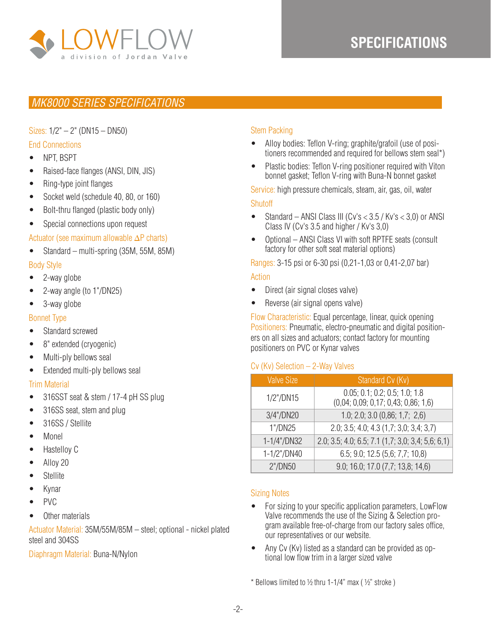

## **SPECIFICATIONS SPECIFICATIONS**

#### *MK8000 SERIES SPECIFICATIONS*

Sizes: 1/2" – 2" (DN15 – DN50)

#### End Connections

- NPT, BSPT
- Raised-face flanges (ANSI, DIN, JIS)
- Ring-type joint flanges
- Socket weld (schedule 40, 80, or 160)
- Bolt-thru flanged (plastic body only)
- Special connections upon request

#### Actuator (see maximum allowable ∆P charts)

• Standard – multi-spring (35M, 55M, 85M)

#### Body Style

- 2-way globe
- 2-way angle (to 1"/DN25)
- 3-way globe

#### Bonnet Type

- Standard screwed
- 8" extended (cryogenic)
- Multi-ply bellows seal
- Extended multi-ply bellows seal

#### Trim Material

- 316SST seat & stem / 17-4 pH SS plug
- 316SS seat, stem and plug
- 316SS / Stellite
- Monel
- Hastelloy C
- Alloy 20
- **Stellite**
- Kynar
- PVC
- Other materials

Actuator Material: 35M/55M/85M – steel; optional - nickel plated steel and 304SS

#### Diaphragm Material: Buna-N/Nylon

#### Stem Packing

- Alloy bodies: Teflon V-ring; graphite/grafoil (use of positioners recommended and required for bellows stem seal\*)
- Plastic bodies: Teflon V-ring positioner required with Viton bonnet gasket; Teflon V-ring with Buna-N bonnet gasket

Service: high pressure chemicals, steam, air, gas, oil, water

#### **Shutoff**

- Standard ANSI Class III (Cv's  $<$  3.5 / Kv's  $<$  3,0) or ANSI Class IV (Cv's 3.5 and higher / Kv's 3,0)
- Optional ANSI Class VI with soft RPTFE seats (consult factory for other soft seat material options)

Ranges: 3-15 psi or 6-30 psi (0,21-1,03 or 0,41-2,07 bar)

#### Action

- Direct (air signal closes valve)
- Reverse (air signal opens valve)

Flow Characteristic: Equal percentage, linear, quick opening Positioners: Pneumatic, electro-pneumatic and digital positioners on all sizes and actuators; contact factory for mounting positioners on PVC or Kynar valves

#### Cv (Kv) Selection – 2-Way Valves

| <b>Valve Size</b> | Standard Cv (Kv)                                                     |
|-------------------|----------------------------------------------------------------------|
| 1/2"/DN15         | 0.05; 0.1; 0.2; 0.5; 1.0; 1.8<br>(0,04; 0,09; 0,17; 0,43; 0,86; 1,6) |
| 3/4"/DN20         | 1.0; 2.0; 3.0 $(0,86; 1,7; 2,6)$                                     |
| 1"/DN25           | 2.0; 3.5; 4.0; 4.3 (1,7; 3,0; 3,4; 3,7)                              |
| 1-1/4"/DN32       | 2.0; 3.5; 4.0; 6.5; 7.1 (1,7; 3,0; 3,4; 5,6; 6,1)                    |
| 1-1/2"/DN40       | 6.5; 9.0; 12.5 (5,6; 7,7; 10,8)                                      |
| 2"/DN50           | 9.0; 16.0; 17.0 (7,7; 13,8; 14,6)                                    |

#### Sizing Notes

- For sizing to your specific application parameters, LowFlow Valve recommends the use of the Sizing & Selection program available free-of-charge from our factory sales office, our representatives or our website.
- Any Cv (Kv) listed as a standard can be provided as optional low flow trim in a larger sized valve

 $*$  Bellows limited to  $\frac{1}{2}$  thru 1-1/4" max ( $\frac{1}{2}$ " stroke)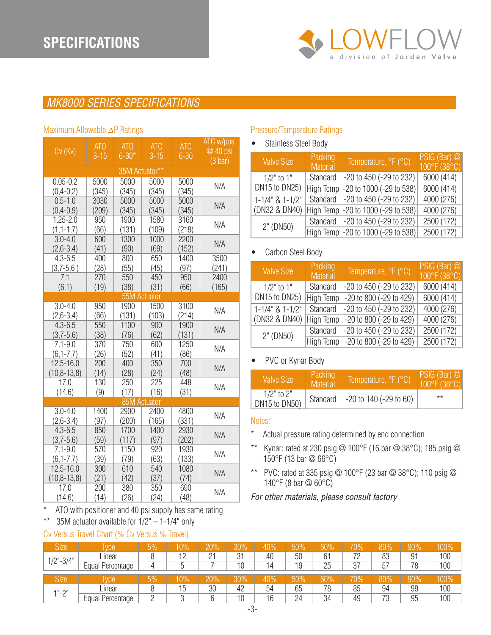

### *MK8000 SERIES SPECIFICATIONS*

#### $CV(KV)$  ATO 3-15 ATO 6-30\* ATC 6-30 ATC w/pos. @ 40 psi (3 bar) 35M Actuator\*\* 0.05-0.2  $(0, 4 - 0.2)$ 5000 (345) 5000 (345) 5000 (345) 5000  $\begin{array}{c} 3000 \\ (345) \end{array}$  N/A 0.5-1.0  $(0,4-0,9)$ 3030 (209) 5000 (345) 5000 (345) 5000  $(345)$  N/A 1.25-2.0  $(1, 1-1, 7)$ 950 (66) 1900 (131) 1580 (109) 3160  $\frac{3100}{(218)}$  N/A 3.0-4.0 (2,6-3,4) 600 (41) 1300 (90) 1000 (69) 2200  $\begin{array}{c} 2200 \\ (152) \end{array}$  N/A 4.3-6.5  $(3,7-5,6)$ 400 (28) 800 (55) 650 (45) 1400 (97) 3500 (241) 7.1 (6,1) 270 (19) 550 (38) 450 (31) 950 (66) 2400 (165) 55M Actuator  $3.0 - 4.0$ (2,6-3,4) 950 (66) 1900 (131) 1500 (103) 3100  $(214)$  N/A 4.3-6.5 (3,7-5,6) 550 (38) 1100 (76) 900 (62) 1900  $(131)$  N/A 7.1-9.0  $(6, 1 - 7, 7)$ 370 (26) 750 (52) 600 (41) 1250  $(86)$  N/A 12.5-16.0 (10,8-13,8) 200 (14) 400 (28) 350 (24) 700  $(48)$  N/A 17.0  $(14,6)$ 130 (9) 250 (17) 225 (16) 448  $\begin{array}{c|c} 440 \\ (31) \end{array}$  N/A 85M Actuator  $3.0 - 4.0$  $(2,6-3,4)$ 1400 (97) 2900 (200) 2400 (165) 4800  $\begin{array}{c} 4000 \\ (331) \end{array}$  N/A 4.3-6.5  $(3,7-5,6)$ 850 (59) 1700 (117) 1400 (97) 2930  $(202)$  N/A 7.1-9.0  $(6, 1 - 7, 7)$ 570 (39) 1150 (79) 920 (63) 1930  $(133)$  N/A 12.5-16.0 (10,8-13,8) 300 (21) 610 (42) 540 (37) 1080  $\begin{array}{c|c} 1000 & N/A \\ (74) & \end{array}$ 17.0  $(14,6)$ 200 (14) 380 (26) 350 (24) 690  $(48)$  N/A Maximum Allowable ∆P Ratings

#### ATO with positioner and 40 psi supply has same rating

\*\* 35M actuator available for  $1/2" - 1-1/4"$  only

#### Cv Versus Travel Chart (% Cv Versus % Travel)

#### Pressure/Temperature Ratings

• Stainless Steel Body

| <b>Valve Size</b>     | Packing<br><b>Material</b> | Temperature, °F (°C)                 | PSIG (Bar) @<br>$100^{\circ}$ F (38 $^{\circ}$ C) |
|-----------------------|----------------------------|--------------------------------------|---------------------------------------------------|
| $1/2$ " to $1$ "      | Standard                   | $-20$ to $450$ ( $-29$ to $232$ )    | 6000 (414)                                        |
| DN15 to DN25)         |                            | High Temp   -20 to 1000 (-29 to 538) | 6000 (414)                                        |
| $1-1/4$ " & $1-1/2$ " |                            | Standard   -20 to 450 (-29 to 232)   | 4000 (276)                                        |
| (DN32 & DN40)         |                            | High Temp   -20 to 1000 (-29 to 538) | 4000 (276)                                        |
| 2" (DN50)             |                            | Standard   -20 to 450 (-29 to 232)   | 2500 (172)                                        |
|                       |                            | High Temp - 20 to 1000 (-29 to 538)  | 2500 (172)                                        |

#### • Carbon Steel Body

| <b>Valve Size</b>         | Packing<br><b>Material</b> | Temperature, °F (°C)    | $PSIG(Bar)$ $@$<br>100°F (38°C) |
|---------------------------|----------------------------|-------------------------|---------------------------------|
| $1/2$ " to $1$ "          | Standard                   | -20 to 450 (-29 to 232) | 6000 (414)                      |
| DN15 to DN25)             | High Temp                  | -20 to 800 (-29 to 429) | 6000 (414)                      |
| $1 - 1/4$ " & $1 - 1/2$ " | Standard                   | -20 to 450 (-29 to 232) | 4000 (276)                      |
| (DN32 & DN40)             | High Temp                  | -20 to 800 (-29 to 429) | 4000 (276)                      |
| 2" (DN50)                 | Standard                   | -20 to 450 (-29 to 232) | 2500 (172)                      |
|                           | High Temp                  | -20 to 800 (-29 to 429) | 2500 (172)                      |

#### PVC or Kynar Body

| Valve Size                  | Packing<br><b>Material</b> | Temperature, °F (°C)        | $\left \frac{\text{PSIG (Bar)} \oslash}{100^{\circ} \text{F (38}^{\circ} \text{C})}\right $ |
|-----------------------------|----------------------------|-----------------------------|---------------------------------------------------------------------------------------------|
| 1/2" to 2"<br>DN15 to DN50) | Standard                   | $-20$ to 140 ( $-29$ to 60) | $***$                                                                                       |

#### Notes:

- \* Actual pressure rating determined by end connection
- \*\* Kynar: rated at 230 psig @ 100°F (16 bar @ 38°C); 185 psig @ 150°F (13 bar @ 66°C)
- \*\* PVC: rated at 335 psig @ 100°F (23 bar @ 38°C); 110 psig @ 140°F (8 bar @ 60°C)

#### *For other materials, please consult factory*

| <b>Size</b>   | Ivpe                | 5% | 10%       | 20%         | 30%       | 40% | 50% | 60% | 70% | 80% | 90% | 100% |
|---------------|---------------------|----|-----------|-------------|-----------|-----|-----|-----|-----|-----|-----|------|
| $1/2" - 3/4"$ | Linear              |    | 12<br>. . | $\sim$<br>∼ | 21<br>ا ب | 40  | 50  | 61  | 72  | 83  | 91  | 100  |
|               | Equal<br>Percentage | 4  |           |             | 10        | 14  | 19  | 25  | 37  | 57  | 78  | 100  |
| <b>Size</b>   | Ivpe                | 5% | $10\%$    | 20%         | 30%       | 40% | 50% | 60% | 70% | 80% | 90% | 100% |
| $1" - 2"$     | Linear              |    | 15        | 30          | 42        | 54  | 65  | 78  | 85  | 94  | 99  | 100  |
|               | Percentage<br>Equal |    |           |             | 10        | 16  | 24  | 34  | 49  | 73  | 95  | 100  |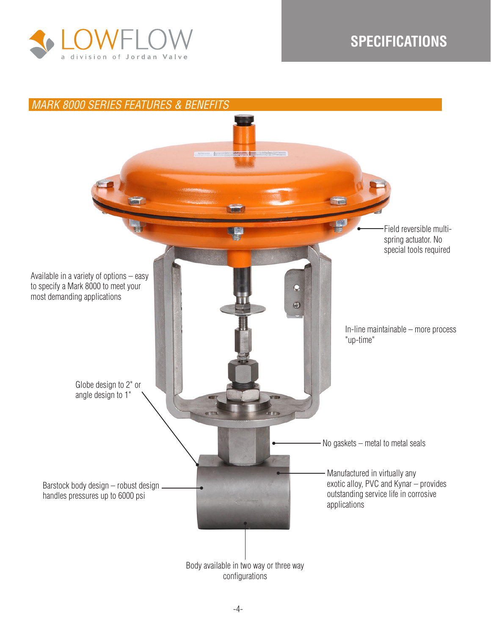

## **SPECIFICATIONS**

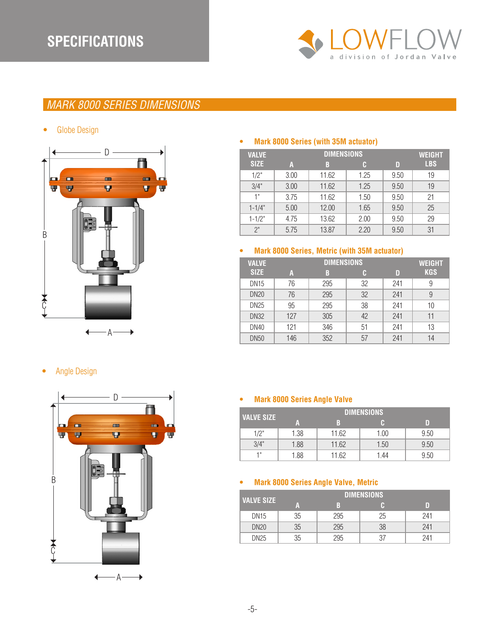

## *MARK 8000 SERIES DIMENSIONS*

• Globe Design



#### **• Mark 8000 Series (with 35M actuator)**

| <b>VALVE</b> |      | <b>DIMENSIONS</b> | <b>WEIGHT</b> |      |            |
|--------------|------|-------------------|---------------|------|------------|
| <b>SIZE</b>  | A    | B                 | C             | D    | <b>LBS</b> |
| 1/2"         | 3.00 | 11.62             | 1.25          | 9.50 | 19         |
| 3/4"         | 3.00 | 11.62             | 1.25          | 9.50 | 19         |
| 1"           | 3.75 | 11.62             | 1.50          | 9.50 | 21         |
| $1 - 1/4"$   | 5.00 | 12.00             | 1.65          | 9.50 | 25         |
| $1 - 1/2"$   | 4.75 | 13.62             | 2.00          | 9.50 | 29         |
| 2"           | 5.75 | 13.87             | 2.20          | 9.50 | 31         |

#### **• Mark 8000 Series, Metric (with 35M actuator)**

| <b>VALVE</b> |     | <b>WEIGHT</b> |    |     |            |
|--------------|-----|---------------|----|-----|------------|
| <b>SIZE</b>  | A   | B             | C  | D   | <b>KGS</b> |
| <b>DN15</b>  | 76  | 295           | 32 | 241 | 9          |
| <b>DN20</b>  | 76  | 295           | 32 | 241 | 9          |
| <b>DN25</b>  | 95  | 295           | 38 | 241 | 10         |
| <b>DN32</b>  | 127 | 305           | 42 | 241 | 11         |
| <b>DN40</b>  | 121 | 346           | 51 | 241 | 13         |
| <b>DN50</b>  | 146 | 352           | 57 | 241 | 14         |

• Angle Design • Angle Design



#### **• Mark 8000 Series Angle Valve**

| <b>VALVE SIZE</b> |      |       | <b>DIMENSIONS</b> |      |
|-------------------|------|-------|-------------------|------|
|                   | A    | B     |                   | D    |
| 1/2"              | 1.38 | 11.62 | 1.00              | 9.50 |
| 3/4"              | 1.88 | 11.62 | 1.50              | 9.50 |
| 1"                | 1.88 | 11.62 | 1.44              | 9.50 |

#### **• Mark 8000 Series Angle Valve, Metric**

|                   |    |     | <b>DIMENSIONS</b> |     |
|-------------------|----|-----|-------------------|-----|
| <b>VALVE SIZE</b> | А  | R   |                   | D   |
| <b>DN15</b>       | 35 | 295 | 25                | 241 |
| <b>DN20</b>       | 35 | 295 | 38                | 241 |
| <b>DN25</b>       | 35 | 295 | 37                | 241 |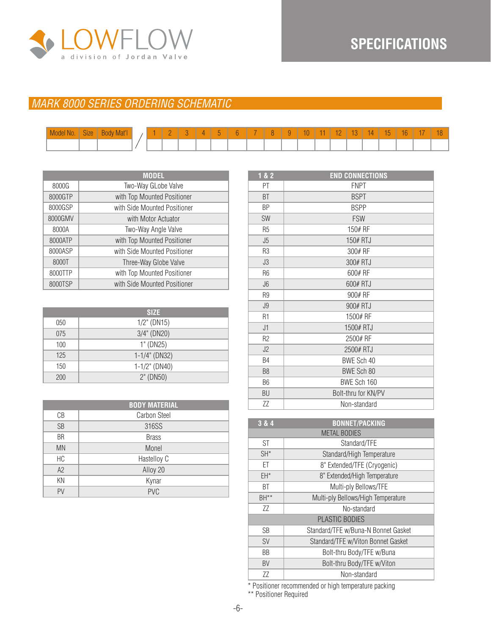

## **SPECIFICATIONS**

#### *MARK 8000 SERIES ORDERING SCHEMATIC*

|  | Model No.   Size   Body Mat'l |  | <u> —</u> |  |  |  | 4U7 |  |  |  |  |
|--|-------------------------------|--|-----------|--|--|--|-----|--|--|--|--|
|  |                               |  |           |  |  |  |     |  |  |  |  |

|         | <b>MODEL</b>                 |
|---------|------------------------------|
| 8000G   | Two-Way GLobe Valve          |
| 8000GTP | with Top Mounted Positioner  |
| 8000GSP | with Side Mounted Positioner |
| 8000GMV | with Motor Actuator          |
| 8000A   | Two-Way Angle Valve          |
| 8000ATP | with Top Mounted Positioner  |
| 8000ASP | with Side Mounted Positioner |
| 8000T   | Three-Way Globe Valve        |
| 8000TTP | with Top Mounted Positioner  |
| 8000TSP | with Side Mounted Positioner |

|     | <b>SIZE</b>      |
|-----|------------------|
| 050 | $1/2$ " (DN15)   |
| 075 | $3/4$ " (DN20)   |
| 100 | 1" (DN25)        |
| 125 | $1-1/4$ " (DN32) |
| 150 | $1-1/2$ " (DN40) |
| 200 | 2" (DN50)        |

|           | <b>BODY MATERIAL</b> |
|-----------|----------------------|
| CВ        | <b>Carbon Steel</b>  |
| <b>SB</b> | 316SS                |
| <b>BR</b> | <b>Brass</b>         |
| <b>MN</b> | Monel                |
| HC        | Hastelloy C          |
| A2        | Alloy 20             |
| ΚN        | Kynar                |
| PV        | <b>PVC</b>           |

| 1& 2           | <b>END CONNECTIONS</b> |
|----------------|------------------------|
| PT             | <b>FNPT</b>            |
| <b>BT</b>      | <b>BSPT</b>            |
| BP             | <b>BSPP</b>            |
| <b>SW</b>      | <b>FSW</b>             |
| R <sub>5</sub> | 150# RF                |
| J <sub>5</sub> | 150# RTJ               |
| R <sub>3</sub> | 300# RF                |
| J3             | 300# RTJ               |
| R <sub>6</sub> | 600# RF                |
| J6             | 600# RTJ               |
| R <sub>9</sub> | 900# RF                |
| J9             | 900# RTJ               |
| R1             | 1500# RF               |
| J1             | 1500# RTJ              |
| R <sub>2</sub> | 2500# RF               |
| J2             | 2500# RTJ              |
| B4             | BWE Sch 40             |
| B <sub>8</sub> | BWE Sch 80             |
| <b>B6</b>      | BWE Sch 160            |
| BU             | Bolt-thru for KN/PV    |
| ΖZ             | Non-standard           |

| 3 & 4     | <b>BONNET/PACKING</b>               |  |  |
|-----------|-------------------------------------|--|--|
|           | <b>METAL BODIES</b>                 |  |  |
| <b>ST</b> | Standard/TFE                        |  |  |
| $SH^*$    | Standard/High Temperature           |  |  |
| ЕT        | 8" Extended/TFE (Cryogenic)         |  |  |
| EH*       | 8" Extended/High Temperature        |  |  |
| ВT        | Multi-ply Bellows/TFE               |  |  |
| $BH**$    | Multi-ply Bellows/High Temperature  |  |  |
| ΖZ        | No-standard                         |  |  |
|           | <b>PLASTIC BODIES</b>               |  |  |
| SB        | Standard/TFE w/Buna-N Bonnet Gasket |  |  |
| <b>SV</b> | Standard/TFE w/Viton Bonnet Gasket  |  |  |
| BB        | Bolt-thru Body/TFE w/Buna           |  |  |
| <b>BV</b> | Bolt-thru Body/TFE w/Viton          |  |  |
| ΖZ        | Non-standard                        |  |  |
|           |                                     |  |  |

\* Positioner recommended or high temperature packing

\*\* Positioner Required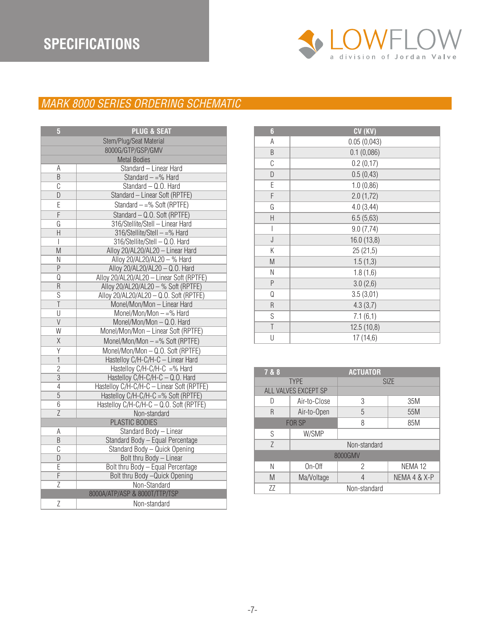## **SPECIFICATIONS**



#### *MARK 8000 SERIES ORDERING SCHEMATIC*

| $\overline{5}$          | <b>PLUG &amp; SEAT</b>                    |  |
|-------------------------|-------------------------------------------|--|
| Stem/Plug/Seat Material |                                           |  |
| 8000G/GTP/GSP/GMV       |                                           |  |
|                         | <b>Metal Bodies</b>                       |  |
| Α                       | Standard - Linear Hard                    |  |
| B                       | Standard $- =\%$ Hard                     |  |
| $\overline{C}$          | Standard - Q.O. Hard                      |  |
| D                       | Standard - Linear Soft (RPTFE)            |  |
| E                       | Standard $-$ =% Soft (RPTFE)              |  |
| $\overline{F}$          | Standard - Q.O. Soft (RPTFE)              |  |
| G                       | 316/Stellite/Stell - Linear Hard          |  |
| $\overline{H}$          | 316/Stellite/Stell -= % Hard              |  |
| $\overline{1}$          | 316/Stellite/Stell - Q.O. Hard            |  |
| M                       | Alloy 20/AL20/AL20 - Linear Hard          |  |
| $\overline{\mathsf{N}}$ | Alloy 20/AL20/AL20 - % Hard               |  |
| $\overline{P}$          | Alloy 20/AL20/AL20 - Q.O. Hard            |  |
| Q                       | Alloy 20/AL20/AL20 - Linear Soft (RPTFE)  |  |
| $\overline{R}$          | Alloy 20/AL20/AL20 - % Soft (RPTFE)       |  |
| $\overline{s}$          | Alloy 20/AL20/AL20 - Q.O. Soft (RPTFE)    |  |
| $\overline{\mathsf{T}}$ | Monel/Mon/Mon - Linear Hard               |  |
| U                       | Monel/Mon/Mon $- =\%$ Hard                |  |
| $\overline{\mathsf{V}}$ | Monel/Mon/Mon-Q.O. Hard                   |  |
| $\overline{W}$          | Monel/Mon/Mon - Linear Soft (RPTFE)       |  |
| $\overline{\mathsf{X}}$ | Monel/Mon/Mon -= % Soft (RPTFE)           |  |
| $\overline{Y}$          | Monel/Mon/Mon-Q.O. Soft (RPTFE)           |  |
| $\mathbf{1}$            | Hastelloy C/H-C/H-C - Linear Hard         |  |
| $\overline{c}$          | Hastelloy $C/H-C/H-C$ =% Hard             |  |
| $\overline{3}$          | Hastelloy C/H-C/H-C - Q.O. Hard           |  |
| $\overline{4}$          | Hastelloy C/H-C/H-C - Linear Soft (RPTFE) |  |
| $\overline{5}$          | Hastelloy C/H-C/H-C =% Soft (RPTFE)       |  |
| $\overline{6}$          | Hastelloy C/H-C/H-C - Q.O. Soft (RPTFE)   |  |
| $\overline{Z}$          | Non-standard                              |  |
|                         | PLASTIC BODIES                            |  |
| Α                       | Standard Body - Linear                    |  |
| $\sf B$                 | Standard Body - Equal Percentage          |  |
| $\overline{\mathbb{C}}$ | Standard Body - Quick Opening             |  |
| $\overline{D}$          | Bolt thru Body - Linear                   |  |
| E                       | Bolt thru Body - Equal Percentage         |  |
| $\overline{F}$          | Bolt thru Body - Quick Opening            |  |
| $\overline{z}$          | Non-Standard                              |  |
|                         | 8000A/ATP/ASP & 8000T/TTP/TSP             |  |
| Ζ                       | Non-standard                              |  |

| 6           | CV (KV)     |
|-------------|-------------|
| A           | 0.05(0,043) |
| B           | 0.1(0,086)  |
| C           | 0.2(0,17)   |
| D           | 0.5(0, 43)  |
| E           | 1.0(0,86)   |
| F           | 2.0(1,72)   |
| G           | 4.0(3,44)   |
| Н           | 6.5(5,63)   |
| I           | 9.0(7,74)   |
| J           | 16.0 (13,8) |
| Κ           | 25(21,5)    |
| M           | 1.5(1,3)    |
| Ν           | 1.8(1,6)    |
| P           | 3.0(2,6)    |
| Q           | 3.5(3,01)   |
| R           | 4.3(3,7)    |
| S           | 7.1(6,1)    |
| $\mathsf T$ | 12.5(10,8)  |
| U           | 17 (14,6)   |

| 7 & 8         | <b>ACTUATOR</b>      |   |                    |
|---------------|----------------------|---|--------------------|
| <b>TYPE</b>   |                      |   | <b>SIZE</b>        |
|               | ALL VALVES EXCEPT SP |   |                    |
| D             | Air-to-Close         | 3 | 35M                |
| R             | Air-to-Open          | 5 | 55M                |
| <b>FOR SP</b> |                      | 8 | 85M                |
| S             | W/SMP                |   |                    |
| Z             | Non-standard         |   |                    |
| 8000GMV       |                      |   |                    |
| Ν             | On-Off               | 2 | NEMA <sub>12</sub> |
| M             | Ma/Voltage           | 4 | NEMA 4 & X-P       |
| ΖZ            | Non-standard         |   |                    |